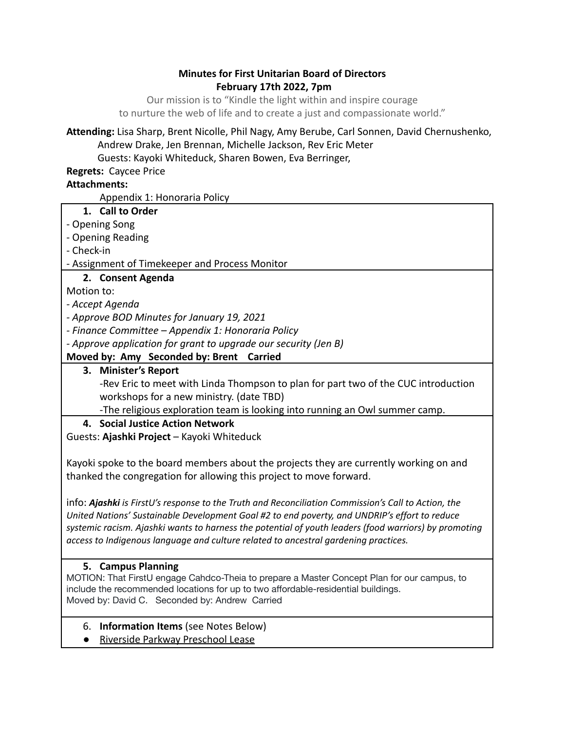### **Minutes for First Unitarian Board of Directors February 17th 2022, 7pm**

Our mission is to "Kindle the light within and inspire courage to nurture the web of life and to create a just and compassionate world."

## **Attending:** Lisa Sharp, Brent Nicolle, Phil Nagy, Amy Berube, Carl Sonnen, David Chernushenko, Andrew Drake, Jen Brennan, Michelle Jackson, Rev Eric Meter

Guests: Kayoki Whiteduck, Sharen Bowen, Eva Berringer,

**Regrets:** Caycee Price

## **Attachments:**

Appendix 1: Honoraria Policy

- **1. Call to Order**
- Opening Song
- Opening Reading
- Check-in
- Assignment of Timekeeper and Process Monitor

# **2. Consent Agenda**

Motion to:

- *Accept Agenda*
- *Approve BOD Minutes for January 19, 2021*
- *Finance Committee Appendix 1: Honoraria Policy*
- *Approve application for grant to upgrade our security (Jen B)*

# **Moved by: Amy Seconded by: Brent Carried**

## **3. Minister's Report**

-Rev Eric to meet with Linda Thompson to plan for part two of the CUC introduction workshops for a new ministry. (date TBD)

-The religious exploration team is looking into running an Owl summer camp.

**4. Social Justice Action Network**

Guests: **Ajashki Project** – Kayoki Whiteduck

Kayoki spoke to the board members about the projects they are currently working on and thanked the congregation for allowing this project to move forward.

info: *Ajashki is FirstU's response to the Truth and Reconciliation Commission's Call to Action, the United Nations' Sustainable Development Goal #2 to end poverty, and UNDRIP's effort to reduce systemic racism. Ajashki wants to harness the potential of youth leaders (food warriors) by promoting access to Indigenous language and culture related to ancestral gardening practices.*

## **5. Campus Planning**

MOTION: That FirstU engage Cahdco-Theia to prepare a Master Concept Plan for our campus, to include the recommended locations for up to two affordable-residential buildings. Moved by: David C. Seconded by: Andrew Carried

- 6. **Information Items** (see Notes Below)
- Riverside Parkway Preschool Lease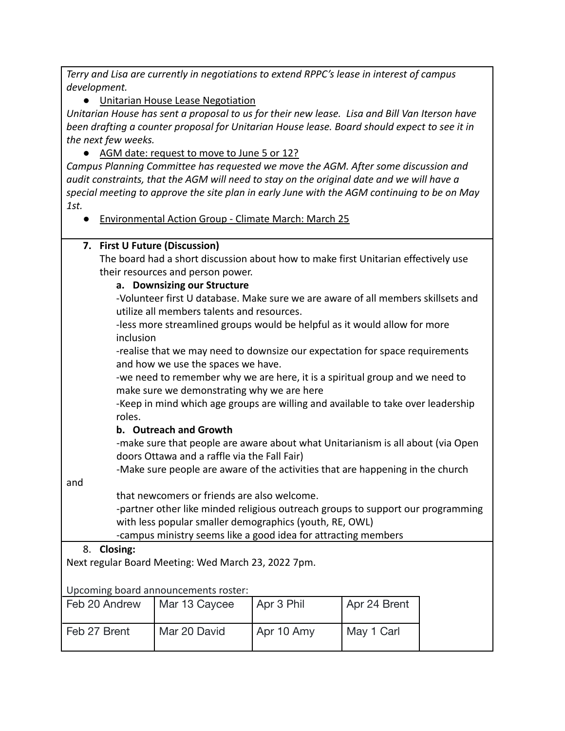*Terry and Lisa are currently in negotiations to extend RPPC's lease in interest of campus development.*

● Unitarian House Lease Negotiation

*Unitarian House has sent a proposal to us for their new lease. Lisa and Bill Van Iterson have been drafting a counter proposal for Unitarian House lease. Board should expect to see it in the next few weeks.*

● AGM date: request to move to June 5 or 12?

*Campus Planning Committee has requested we move the AGM. After some discussion and audit constraints, that the AGM will need to stay on the original date and we will have a special meeting to approve the site plan in early June with the AGM continuing to be on May 1st.*

● Environmental Action Group - Climate March: March 25

## **7. First U Future (Discussion)**

The board had a short discussion about how to make first Unitarian effectively use their resources and person power.

### **a. Downsizing our Structure**

-Volunteer first U database. Make sure we are aware of all members skillsets and utilize all members talents and resources.

-less more streamlined groups would be helpful as it would allow for more inclusion

-realise that we may need to downsize our expectation for space requirements and how we use the spaces we have.

-we need to remember why we are here, it is a spiritual group and we need to make sure we demonstrating why we are here

-Keep in mind which age groups are willing and available to take over leadership roles.

## **b. Outreach and Growth**

-make sure that people are aware about what Unitarianism is all about (via Open doors Ottawa and a raffle via the Fall Fair)

-Make sure people are aware of the activities that are happening in the church

and

that newcomers or friends are also welcome.

-partner other like minded religious outreach groups to support our programming with less popular smaller demographics (youth, RE, OWL)

-campus ministry seems like a good idea for attracting members

## 8. **Closing:**

Next regular Board Meeting: Wed March 23, 2022 7pm.

Upcoming board announcements roster:

| Feb 20 Andrew | Mar 13 Caycee | Apr 3 Phil | Apr 24 Brent |
|---------------|---------------|------------|--------------|
| Feb 27 Brent  | Mar 20 David  | Apr 10 Amy | May 1 Carl   |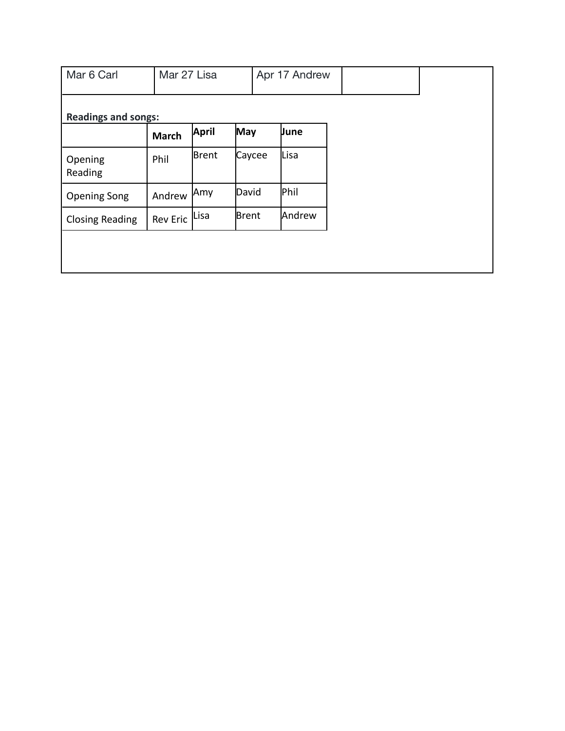| Mar 6 Carl                 |                 | Mar 27 Lisa  |            | Apr 17 Andrew |        |  |  |
|----------------------------|-----------------|--------------|------------|---------------|--------|--|--|
| <b>Readings and songs:</b> |                 |              |            |               |        |  |  |
|                            | <b>March</b>    | <b>April</b> | <b>May</b> |               | June   |  |  |
| Opening<br>Reading         | Phil            | Brent        | Caycee     |               | Lisa   |  |  |
| <b>Opening Song</b>        | Andrew          | Amy          | David      |               | Phil   |  |  |
| <b>Closing Reading</b>     | <b>Rev Eric</b> | Lisa         | Brent      |               | Andrew |  |  |
|                            |                 |              |            |               |        |  |  |
|                            |                 |              |            |               |        |  |  |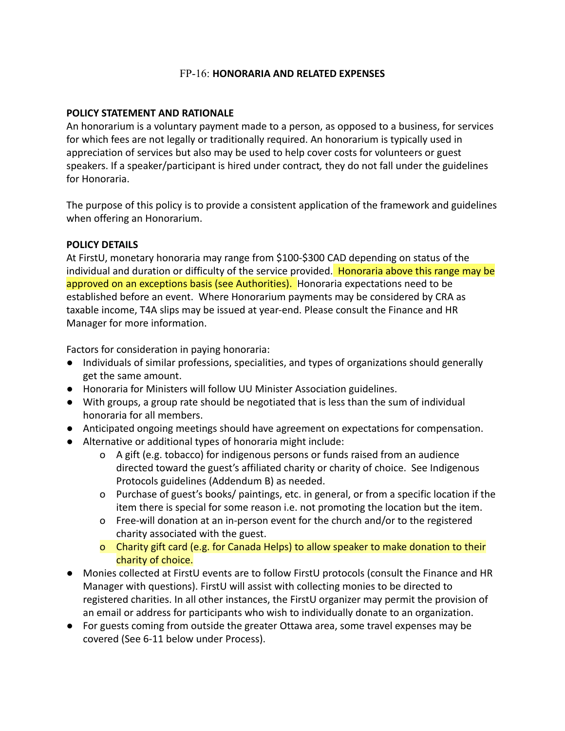### FP-16: **HONORARIA AND RELATED EXPENSES**

### **POLICY STATEMENT AND RATIONALE**

An honorarium is a voluntary payment made to a person, as opposed to a business, for services for which fees are not legally or traditionally required. An honorarium is typically used in appreciation of services but also may be used to help cover costs for volunteers or guest speakers. If a speaker/participant is hired under contract*,* they do not fall under the guidelines for Honoraria.

The purpose of this policy is to provide a consistent application of the framework and guidelines when offering an Honorarium.

### **POLICY DETAILS**

At FirstU, monetary honoraria may range from \$100-\$300 CAD depending on status of the individual and duration or difficulty of the service provided. Honoraria above this range may be approved on an exceptions basis (see Authorities). Honoraria expectations need to be established before an event. Where Honorarium payments may be considered by CRA as taxable income, T4A slips may be issued at year-end. Please consult the Finance and HR Manager for more information.

Factors for consideration in paying honoraria:

- Individuals of similar professions, specialities, and types of organizations should generally get the same amount.
- Honoraria for Ministers will follow UU Minister Association guidelines.
- With groups, a group rate should be negotiated that is less than the sum of individual honoraria for all members.
- Anticipated ongoing meetings should have agreement on expectations for compensation.
- Alternative or additional types of honoraria might include:
	- o A gift (e.g. tobacco) for indigenous persons or funds raised from an audience directed toward the guest's affiliated charity or charity of choice. See Indigenous Protocols guidelines (Addendum B) as needed.
	- o Purchase of guest's books/ paintings, etc. in general, or from a specific location if the item there is special for some reason i.e. not promoting the location but the item.
	- o Free-will donation at an in-person event for the church and/or to the registered charity associated with the guest.
	- o Charity gift card (e.g. for Canada Helps) to allow speaker to make donation to their charity of choice.
- Monies collected at FirstU events are to follow FirstU protocols (consult the Finance and HR Manager with questions). FirstU will assist with collecting monies to be directed to registered charities. In all other instances, the FirstU organizer may permit the provision of an email or address for participants who wish to individually donate to an organization.
- For guests coming from outside the greater Ottawa area, some travel expenses may be covered (See 6-11 below under Process).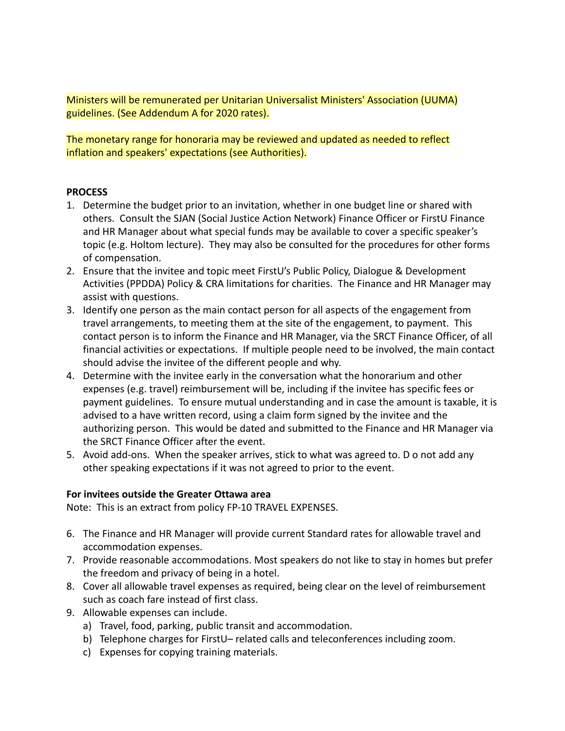Ministers will be remunerated per Unitarian Universalist Ministers' Association (UUMA) guidelines. (See Addendum A for 2020 rates).

The monetary range for honoraria may be reviewed and updated as needed to reflect inflation and speakers' expectations (see Authorities).

### **PROCESS**

- 1. Determine the budget prior to an invitation, whether in one budget line or shared with others. Consult the SJAN (Social Justice Action Network) Finance Officer or FirstU Finance and HR Manager about what special funds may be available to cover a specific speaker's topic (e.g. Holtom lecture). They may also be consulted for the procedures for other forms of compensation.
- 2. Ensure that the invitee and topic meet FirstU's Public Policy, Dialogue & Development Activities (PPDDA) Policy & CRA limitations for charities. The Finance and HR Manager may assist with questions.
- 3. Identify one person as the main contact person for all aspects of the engagement from travel arrangements, to meeting them at the site of the engagement, to payment. This contact person is to inform the Finance and HR Manager, via the SRCT Finance Officer, of all financial activities or expectations. If multiple people need to be involved, the main contact should advise the invitee of the different people and why.
- 4. Determine with the invitee early in the conversation what the honorarium and other expenses (e.g. travel) reimbursement will be, including if the invitee has specific fees or payment guidelines. To ensure mutual understanding and in case the amount is taxable, it is advised to a have written record, using a claim form signed by the invitee and the authorizing person. This would be dated and submitted to the Finance and HR Manager via the SRCT Finance Officer after the event.
- 5. Avoid add-ons. When the speaker arrives, stick to what was agreed to. D o not add any other speaking expectations if it was not agreed to prior to the event.

### **For invitees outside the Greater Ottawa area**

Note: This is an extract from policy FP-10 TRAVEL EXPENSES.

- 6. The Finance and HR Manager will provide current Standard rates for allowable travel and accommodation expenses.
- 7. Provide reasonable accommodations. Most speakers do not like to stay in homes but prefer the freedom and privacy of being in a hotel.
- 8. Cover all allowable travel expenses as required, being clear on the level of reimbursement such as coach fare instead of first class.
- 9. Allowable expenses can include.
	- a) Travel, food, parking, public transit and accommodation.
	- b) Telephone charges for FirstU– related calls and teleconferences including zoom.
	- c) Expenses for copying training materials.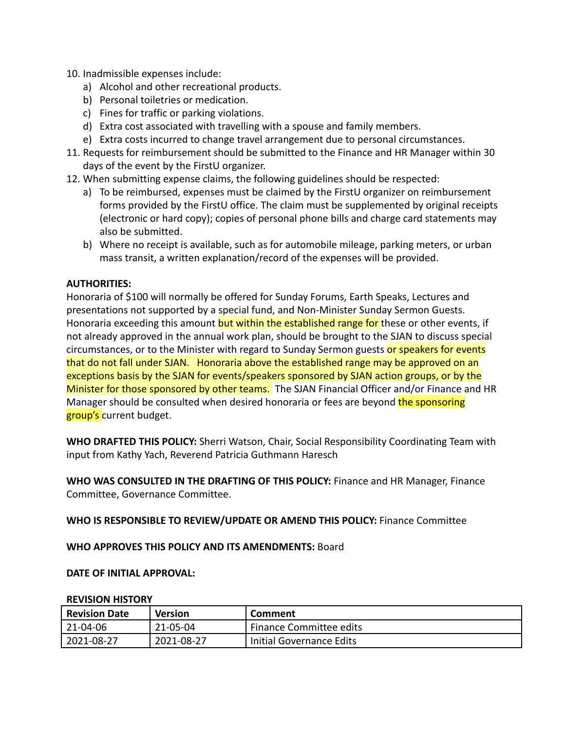- 10. Inadmissible expenses include:
	- a) Alcohol and other recreational products.
	- b) Personal toiletries or medication.
	- c) Fines for traffic or parking violations.
	- d) Extra cost associated with travelling with a spouse and family members.
	- e) Extra costs incurred to change travel arrangement due to personal circumstances.
- 11. Requests for reimbursement should be submitted to the Finance and HR Manager within 30 days of the event by the FirstU organizer.
- 12. When submitting expense claims, the following guidelines should be respected:
	- a) To be reimbursed, expenses must be claimed by the FirstU organizer on reimbursement forms provided by the FirstU office. The claim must be supplemented by original receipts (electronic or hard copy); copies of personal phone bills and charge card statements may also be submitted.
	- b) Where no receipt is available, such as for automobile mileage, parking meters, or urban mass transit, a written explanation/record of the expenses will be provided.

### **AUTHORITIES:**

Honoraria of \$100 will normally be offered for Sunday Forums, Earth Speaks, Lectures and presentations not supported by a special fund, and Non-Minister Sunday Sermon Guests. Honoraria exceeding this amount but within the established range for these or other events, if not already approved in the annual work plan, should be brought to the SJAN to discuss special circumstances, or to the Minister with regard to Sunday Sermon guests or speakers for events that do not fall under SJAN. Honoraria above the established range may be approved on an exceptions basis by the SJAN for events/speakers sponsored by SJAN action groups, or by the Minister for those sponsored by other teams. The SJAN Financial Officer and/or Finance and HR Manager should be consulted when desired honoraria or fees are beyond the sponsoring group's current budget.

**WHO DRAFTED THIS POLICY:** Sherri Watson, Chair, Social Responsibility Coordinating Team with input from Kathy Yach, Reverend Patricia Guthmann Haresch

**WHO WAS CONSULTED IN THE DRAFTING OF THIS POLICY:** Finance and HR Manager, Finance Committee, Governance Committee.

**WHO IS RESPONSIBLE TO REVIEW/UPDATE OR AMEND THIS POLICY:** Finance Committee

**WHO APPROVES THIS POLICY AND ITS AMENDMENTS:** Board

#### **DATE OF INITIAL APPROVAL:**

#### **REVISION HISTORY**

| <b>Revision Date</b> | Version    | Comment                  |
|----------------------|------------|--------------------------|
| 21-04-06             | 21-05-04   | Finance Committee edits  |
| 2021-08-27           | 2021-08-27 | Initial Governance Edits |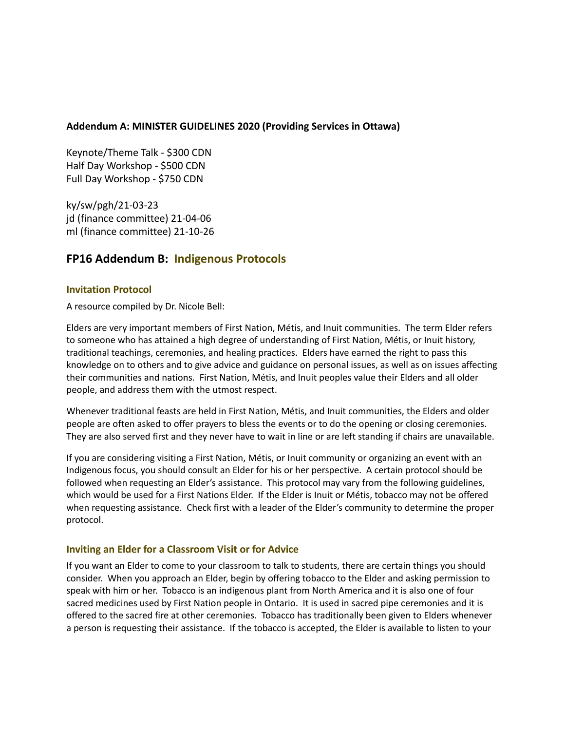### **Addendum A: MINISTER GUIDELINES 2020 (Providing Services in Ottawa)**

Keynote/Theme Talk - \$300 CDN Half Day Workshop - \$500 CDN Full Day Workshop - \$750 CDN

ky/sw/pgh/21-03-23 jd (finance committee) 21-04-06 ml (finance committee) 21-10-26

### **FP16 Addendum B: Indigenous Protocols**

#### **Invitation Protocol**

A resource compiled by Dr. Nicole Bell:

Elders are very important members of First Nation, Métis, and Inuit communities. The term Elder refers to someone who has attained a high degree of understanding of First Nation, Métis, or Inuit history, traditional teachings, ceremonies, and healing practices. Elders have earned the right to pass this knowledge on to others and to give advice and guidance on personal issues, as well as on issues affecting their communities and nations. First Nation, Métis, and Inuit peoples value their Elders and all older people, and address them with the utmost respect.

Whenever traditional feasts are held in First Nation, Métis, and Inuit communities, the Elders and older people are often asked to offer prayers to bless the events or to do the opening or closing ceremonies. They are also served first and they never have to wait in line or are left standing if chairs are unavailable.

If you are considering visiting a First Nation, Métis, or Inuit community or organizing an event with an Indigenous focus, you should consult an Elder for his or her perspective. A certain protocol should be followed when requesting an Elder's assistance. This protocol may vary from the following guidelines, which would be used for a First Nations Elder. If the Elder is Inuit or Métis, tobacco may not be offered when requesting assistance. Check first with a leader of the Elder's community to determine the proper protocol.

#### **Inviting an Elder for a Classroom Visit or for Advice**

If you want an Elder to come to your classroom to talk to students, there are certain things you should consider. When you approach an Elder, begin by offering tobacco to the Elder and asking permission to speak with him or her. Tobacco is an indigenous plant from North America and it is also one of four sacred medicines used by First Nation people in Ontario. It is used in sacred pipe ceremonies and it is offered to the sacred fire at other ceremonies. Tobacco has traditionally been given to Elders whenever a person is requesting their assistance. If the tobacco is accepted, the Elder is available to listen to your